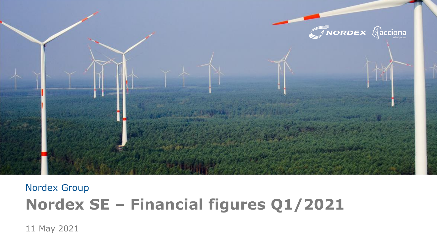

# Nordex Group **Nordex SE – Financial figures Q1/2021**

11 May 2021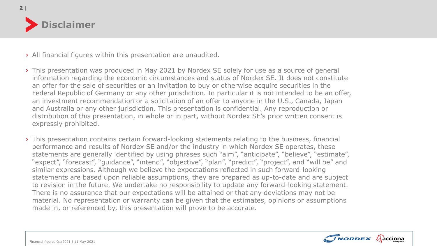

| **2**

## › All financial figures within this presentation are unaudited.

- › This presentation was produced in May 2021 by Nordex SE solely for use as a source of general information regarding the economic circumstances and status of Nordex SE. It does not constitute an offer for the sale of securities or an invitation to buy or otherwise acquire securities in the Federal Republic of Germany or any other jurisdiction. In particular it is not intended to be an offer, an investment recommendation or a solicitation of an offer to anyone in the U.S., Canada, Japan and Australia or any other jurisdiction. This presentation is confidential. Any reproduction or distribution of this presentation, in whole or in part, without Nordex SE's prior written consent is expressly prohibited.
- › This presentation contains certain forward-looking statements relating to the business, financial performance and results of Nordex SE and/or the industry in which Nordex SE operates, these statements are generally identified by using phrases such "aim", "anticipate", "believe", "estimate", "expect", "forecast", "guidance", "intend", "objective", "plan", "predict", "project", and "will be" and similar expressions. Although we believe the expectations reflected in such forward-looking statements are based upon reliable assumptions, they are prepared as up-to-date and are subject to revision in the future. We undertake no responsibility to update any forward-looking statement. There is no assurance that our expectations will be attained or that any deviations may not be material. No representation or warranty can be given that the estimates, opinions or assumptions made in, or referenced by, this presentation will prove to be accurate.

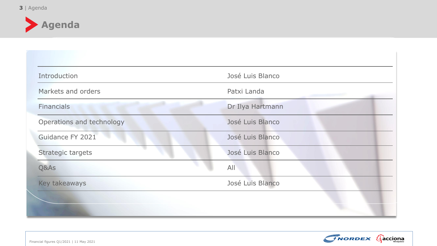

| Introduction              | José Luis Blanco |
|---------------------------|------------------|
| Markets and orders        | Patxi Landa      |
| <b>Financials</b>         | Dr Ilya Hartmann |
| Operations and technology | José Luis Blanco |
| Guidance FY 2021          | José Luis Blanco |
| Strategic targets         | José Luis Blanco |
| Q&As                      | All              |
| Key takeaways             | José Luis Blanco |

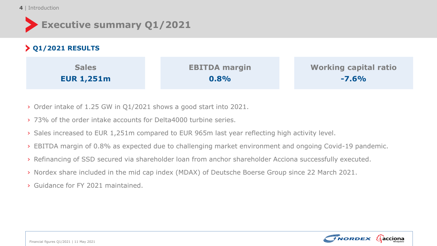### 4 | Introduction

| Executive summary Q1/2021 |  |
|---------------------------|--|
|---------------------------|--|

| $\geq$ Q1/2021 RESULTS |                      |                              |
|------------------------|----------------------|------------------------------|
| <b>Sales</b>           | <b>EBITDA margin</b> | <b>Working capital ratio</b> |
| <b>EUR 1,251m</b>      | 0.8%                 | $-7.6%$                      |

- › Order intake of 1.25 GW in Q1/2021 shows a good start into 2021.
- › 73% of the order intake accounts for Delta4000 turbine series.
- › Sales increased to EUR 1,251m compared to EUR 965m last year reflecting high activity level.
- › EBITDA margin of 0.8% as expected due to challenging market environment and ongoing Covid-19 pandemic.
- › Refinancing of SSD secured via shareholder loan from anchor shareholder Acciona successfully executed.
- › Nordex share included in the mid cap index (MDAX) of Deutsche Boerse Group since 22 March 2021.
- › Guidance for FY 2021 maintained.

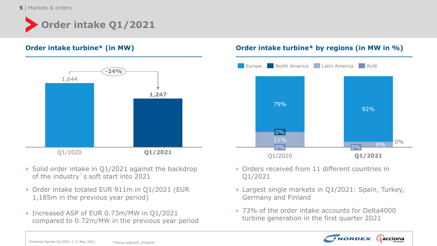**5** | Markets & orders





- › Solid order intake in Q1/2021 against the backdrop of the industry`s soft start into 2021
- › Order intake totaled EUR 911m in Q1/2021 (EUR 1,185m in the previous year period)
- › Increased ASP of EUR 0.73m/MW in Q1/2021 compared to 0.72m/MW in the previous year period

# **Order intake turbine\* (in MW) Order intake turbine\* by regions (in MW in %)**



- › Orders received from 11 different countries in Q1/2021
- › Largest single markets in Q1/2021: Spain, Turkey, Germany and Finland
- › 73% of the order intake accounts for Delta4000 turbine generation in the first quarter 2021

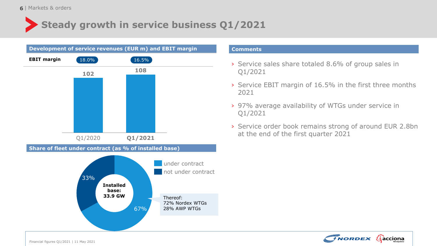# **Steady growth in service business Q1/2021**



### **Comments**

- › Service sales share totaled 8.6% of group sales in Q1/2021
- › Service EBIT margin of 16.5% in the first three months 2021
- › 97% average availability of WTGs under service in Q1/2021
- › Service order book remains strong of around EUR 2.8bn at the end of the first quarter 2021

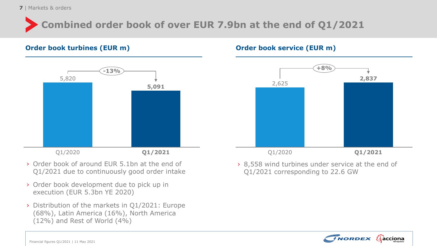**7** | Markets & orders

# **Combined order book of over EUR 7.9bn at the end of Q1/2021**

## **Order book turbines (EUR m) Order book service (EUR m)**



- › Order book of around EUR 5.1bn at the end of Q1/2021 due to continuously good order intake
- › Order book development due to pick up in execution (EUR 5.3bn YE 2020)
- › Distribution of the markets in Q1/2021: Europe (68%), Latin America (16%), North America (12%) and Rest of World (4%)



› 8,558 wind turbines under service at the end of Q1/2021 corresponding to 22.6 GW

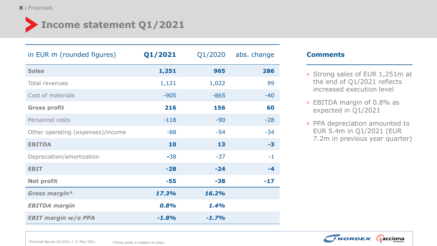# **Income statement Q1/2021**

| in EUR m (rounded figures)        | Q1/2021 | Q1/2020 | abs. change |
|-----------------------------------|---------|---------|-------------|
| <b>Sales</b>                      | 1,251   | 965     | 286         |
| Total revenues                    | 1,121   | 1,022   | 99          |
| Cost of materials                 | $-905$  | $-865$  | $-40$       |
| <b>Gross profit</b>               | 216     | 156     | 60          |
| Personnel costs                   | $-118$  | $-90$   | $-28$       |
| Other operating (expenses)/income | $-88$   | $-54$   | $-34$       |
| <b>EBITDA</b>                     | 10      | 13      | $-3$        |
| Depreciation/amortization         | $-38$   | $-37$   | $-1$        |
| <b>EBIT</b>                       | $-28$   | $-24$   | -4          |
| <b>Net profit</b>                 | $-55$   | $-38$   | $-17$       |
| Gross margin*                     | 17.3%   | 16.2%   |             |
| <b>EBITDA</b> margin              | 0.8%    | 1.4%    |             |
| <b>EBIT margin w/o PPA</b>        | $-1.8%$ | $-1.7%$ |             |

## **Comments**

- › Strong sales of EUR 1,251m at the end of Q1/2021 reflects increased execution level
- › EBITDA margin of 0.8% as expected in Q1/2021
- › PPA depreciation amounted to EUR 5.4m in Q1/2021 (EUR 7.2m in previous year quarter)

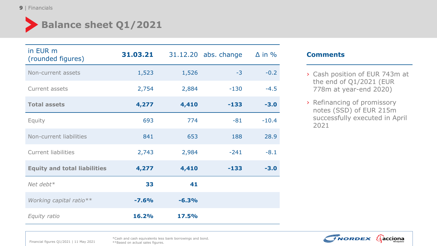# **Balance sheet Q1/2021**

| in EUR m<br>(rounded figures)       | 31.03.21 |         | 31.12.20 abs. change | $\Delta$ in % |
|-------------------------------------|----------|---------|----------------------|---------------|
| Non-current assets                  | 1,523    | 1,526   | $-3$                 | $-0.2$        |
| Current assets                      | 2,754    | 2,884   | $-130$               | $-4.5$        |
| <b>Total assets</b>                 | 4,277    | 4,410   | $-133$               | $-3.0$        |
| Equity                              | 693      | 774     | $-81$                | $-10.4$       |
| Non-current liabilities             | 841      | 653     | 188                  | 28.9          |
| <b>Current liabilities</b>          | 2,743    | 2,984   | $-241$               | $-8.1$        |
| <b>Equity and total liabilities</b> | 4,277    | 4,410   | $-133$               | $-3.0$        |
| Net debt $*$                        | 33       | 41      |                      |               |
| Working capital ratio**             | $-7.6%$  | $-6.3%$ |                      |               |
| Equity ratio                        | 16.2%    | 17.5%   |                      |               |

## **Comments**

- › Cash position of EUR 743m at the end of Q1/2021 (EUR 778m at year-end 2020)
- › Refinancing of promissory notes (SSD) of EUR 215m successfully executed in April 2021



Financial figures Q1/2021 | 11 May 2021

\*Cash and cash equivalents less bank borrowings and bond. \*\*Based on actual sales figures.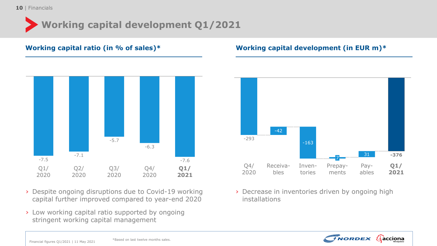# **Working capital development Q1/2021**



- › Despite ongoing disruptions due to Covid-19 working capital further improved compared to year-end 2020
- › Low working capital ratio supported by ongoing stringent working capital management

# **Working capital ratio (in % of sales)\* Working capital development (in EUR m)\***



› Decrease in inventories driven by ongoing high installations

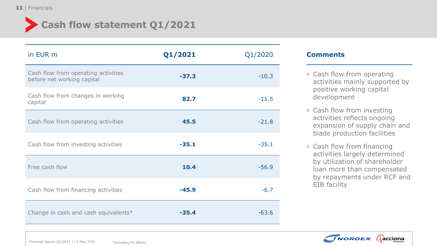

| in EUR m                                                          | Q1/2021 | Q1/2020 |
|-------------------------------------------------------------------|---------|---------|
| Cash flow from operating activities<br>before net working capital | $-37.3$ | $-10.3$ |
| Cash flow from changes in working<br>capital                      | 82.7    | $-11.5$ |
| Cash flow from operating activities                               | 45.5    | $-21.8$ |
| Cash flow from investing activities                               | $-35.1$ | $-35.1$ |
| Free cash flow                                                    | 10.4    | $-56.9$ |
| Cash flow from financing activities                               | $-45.9$ | $-6.7$  |
| Change in cash and cash equivalents*                              | $-35.4$ | $-63.6$ |

## **Comments**

- › Cash flow from operating activities mainly supported by positive working capital development
- › Cash flow from investing activities reflects ongoing expansion of supply chain and blade production facilities
- › Cash flow from financing activities largely determined by utilization of shareholder loan more than compensated by repayments under RCF and EIB facility

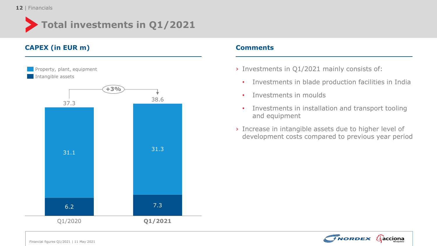

# **CAPEX (in EUR m) Comments**



- › Investments in Q1/2021 mainly consists of:
	- Investments in blade production facilities in India
	- Investments in moulds
	- Investments in installation and transport tooling and equipment
- › Increase in intangible assets due to higher level of development costs compared to previous year period

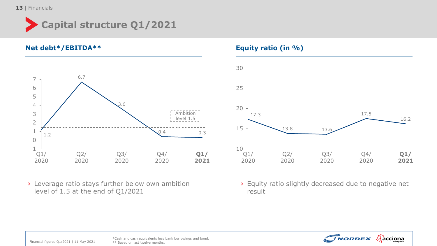# **Capital structure Q1/2021**

**Net debt\*/EBITDA\*\* Equity ratio (in %)**



› Leverage ratio stays further below own ambition level of 1.5 at the end of Q1/2021



› Equity ratio slightly decreased due to negative net result



Financial figures Q1/2021 | 11 May 2021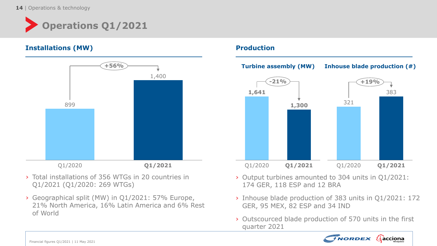

## **Installations (MW) And Allen Contract Contract Contract Contract Contract Contract Contract Contract Contract Contract Contract Contract Contract Contract Contract Contract Contract Contract Contract Contract Contract Con**



- › Total installations of 356 WTGs in 20 countries in Q1/2021 (Q1/2020: 269 WTGs)
- › Geographical split (MW) in Q1/2021: 57% Europe, 21% North America, 16% Latin America and 6% Rest of World



- › Output turbines amounted to 304 units in Q1/2021: 174 GER, 118 ESP and 12 BRA
- › Inhouse blade production of 383 units in Q1/2021: 172 GER, 95 MEX, 82 ESP and 34 IND
- › Outscourced blade production of 570 units in the first quarter 2021

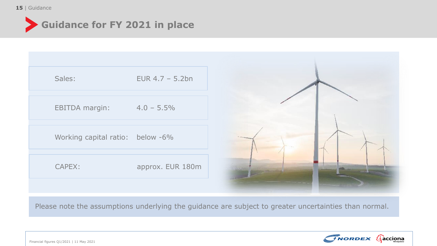### 15 | Guidance



| Sales:                           | EUR $4.7 - 5.2$ bn |  |
|----------------------------------|--------------------|--|
| <b>EBITDA margin:</b>            | $4.0 - 5.5\%$      |  |
| Working capital ratio: below -6% |                    |  |
| CAPEX:                           | approx. EUR 180m   |  |
|                                  |                    |  |

Please note the assumptions underlying the guidance are subject to greater uncertainties than normal.

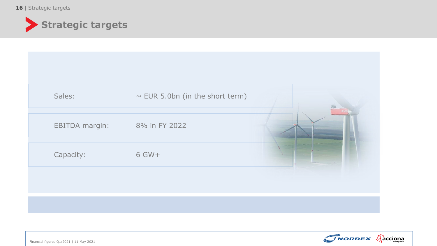16 | Strategic targets



| Sales:                | $\sim$ EUR 5.0bn (in the short term) |  |
|-----------------------|--------------------------------------|--|
| <b>EBITDA</b> margin: | 8% in FY 2022                        |  |
| Capacity:             | 6 GW+                                |  |
|                       |                                      |  |
|                       |                                      |  |



Financial figures Q1/2021 | 11 May 2021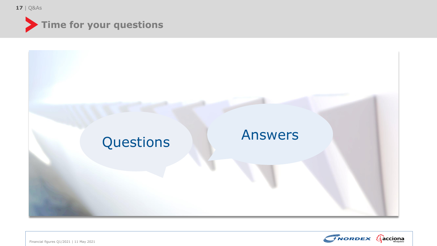| **17** Q&As





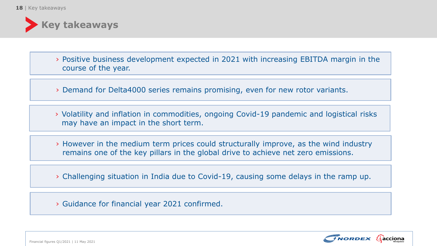

› Positive business development expected in 2021 with increasing EBITDA margin in the course of the year.

› Demand for Delta4000 series remains promising, even for new rotor variants.

› Volatility and inflation in commodities, ongoing Covid-19 pandemic and logistical risks may have an impact in the short term.

› However in the medium term prices could structurally improve, as the wind industry remains one of the key pillars in the global drive to achieve net zero emissions.

› Challenging situation in India due to Covid-19, causing some delays in the ramp up.

› Guidance for financial year 2021 confirmed.